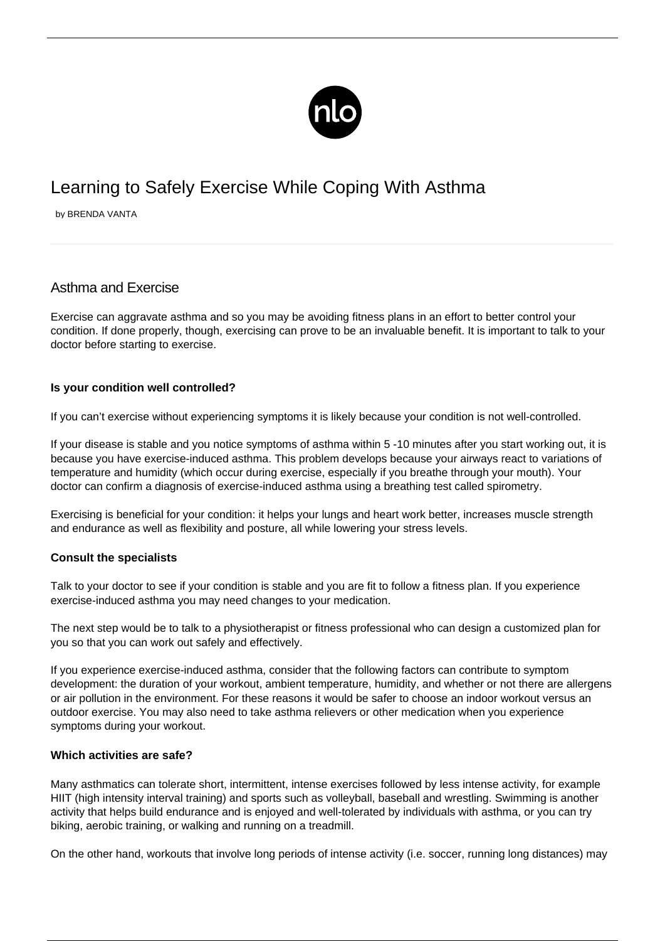

# Learning to Safely Exercise While Coping With Asthma

by BRENDA VANTA

# Asthma and Exercise

Exercise can aggravate asthma and so you may be avoiding fitness plans in an effort to better control your condition. If done properly, though, exercising can prove to be an invaluable benefit. It is important to talk to your doctor before starting to exercise.

### **Is your condition well controlled?**

If you can't exercise without experiencing symptoms it is likely because your condition is not well-controlled.

If your disease is stable and you notice symptoms of asthma within 5 -10 minutes after you start working out, it is because you have exercise-induced asthma. This problem develops because your airways react to variations of temperature and humidity (which occur during exercise, especially if you breathe through your mouth). Your doctor can confirm a diagnosis of exercise-induced asthma using a breathing test called spirometry.

Exercising is beneficial for your condition: it helps your lungs and heart work better, increases muscle strength and endurance as well as flexibility and posture, all while lowering your stress levels.

#### **Consult the specialists**

Talk to your doctor to see if your condition is stable and you are fit to follow a fitness plan. If you experience exercise-induced asthma you may need changes to your medication.

The next step would be to talk to a physiotherapist or fitness professional who can design a customized plan for you so that you can work out safely and effectively.

If you experience exercise-induced asthma, consider that the following factors can contribute to symptom development: the duration of your workout, ambient temperature, humidity, and whether or not there are allergens or air pollution in the environment. For these reasons it would be safer to choose an indoor workout versus an [outdoor exercise](http://dm2.newlifeoutlook.com/jogging-tips/). You may also need to take asthma relievers or other medication when you experience symptoms during your workout.

#### **Which activities are safe?**

Many asthmatics can tolerate short, intermittent, intense exercises followed by less intense activity, for example HIIT (high intensity interval training) and sports such as volleyball, baseball and wrestling. Swimming is another activity that helps build endurance and is enjoyed and well-tolerated by individuals with asthma, or you can try biking, aerobic training, or walking and running on a treadmill.

On the other hand, workouts that involve long periods of intense activity (i.e. soccer, running long distances) may